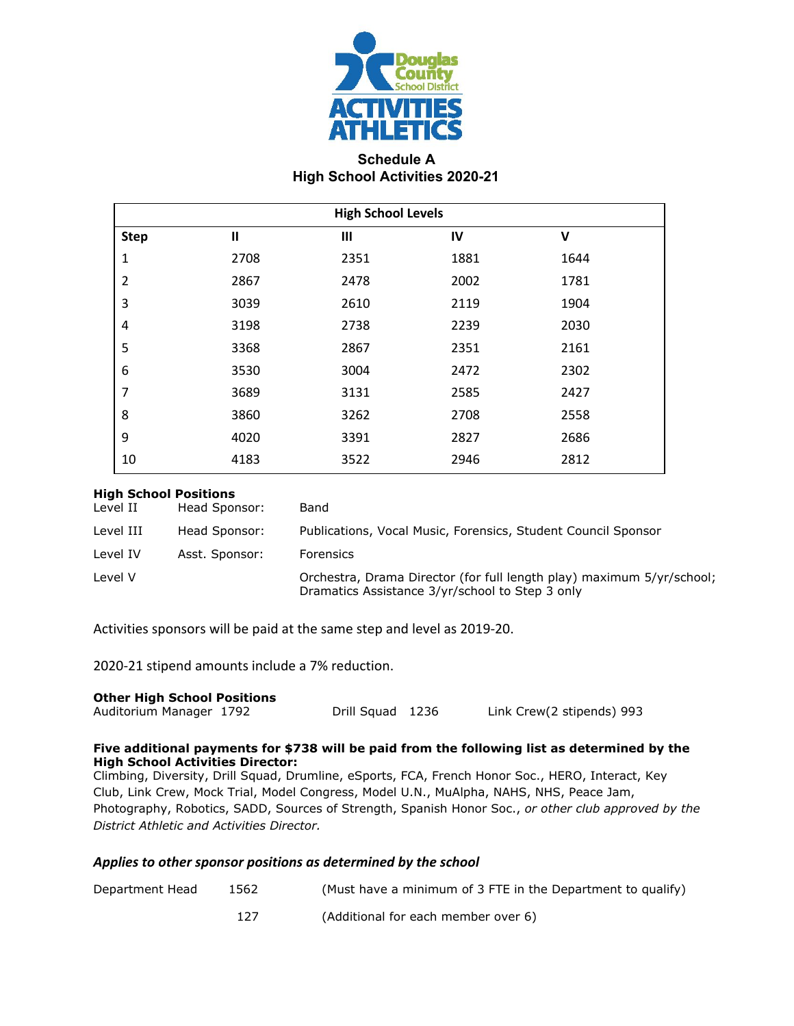

## **Schedule A High School Activities 2020-21**

| <b>High School Levels</b> |              |                |      |      |  |
|---------------------------|--------------|----------------|------|------|--|
| <b>Step</b>               | $\mathbf{I}$ | $\mathbf{III}$ | IV   | V    |  |
| $\mathbf 1$               | 2708         | 2351           | 1881 | 1644 |  |
| $\overline{2}$            | 2867         | 2478           | 2002 | 1781 |  |
| 3                         | 3039         | 2610           | 2119 | 1904 |  |
| 4                         | 3198         | 2738           | 2239 | 2030 |  |
| 5                         | 3368         | 2867           | 2351 | 2161 |  |
| 6                         | 3530         | 3004           | 2472 | 2302 |  |
| 7                         | 3689         | 3131           | 2585 | 2427 |  |
| 8                         | 3860         | 3262           | 2708 | 2558 |  |
| 9                         | 4020         | 3391           | 2827 | 2686 |  |
| 10                        | 4183         | 3522           | 2946 | 2812 |  |

#### **High School Positions**

| Level II  | Head Sponsor:  | Band                                                                                                                     |
|-----------|----------------|--------------------------------------------------------------------------------------------------------------------------|
| Level III | Head Sponsor:  | Publications, Vocal Music, Forensics, Student Council Sponsor                                                            |
| Level IV  | Asst. Sponsor: | Forensics                                                                                                                |
| Level V   |                | Orchestra, Drama Director (for full length play) maximum 5/yr/school;<br>Dramatics Assistance 3/yr/school to Step 3 only |

Activities sponsors will be paid at the same step and level as 2019-20.

2020-21 stipend amounts include a 7% reduction.

#### **Other High School Positions**

```
Auditorium Manager 1792 Drill Squad 1236 Link Crew(2 stipends) 993
```
#### **Five additional payments for \$738 will be paid from the following list as determined by the High School Activities Director:**

Climbing, Diversity, Drill Squad, Drumline, eSports, FCA, French Honor Soc., HERO, Interact, Key Club, Link Crew, Mock Trial, Model Congress, Model U.N., MuAlpha, NAHS, NHS, Peace Jam, Photography, Robotics, SADD, Sources of Strength, Spanish Honor Soc., *or other club approved by the District Athletic and Activities Director.*

#### *Applies to other sponsor positions as determined by the school*

| Department Head | 1562 | (Must have a minimum of 3 FTE in the Department to qualify) |
|-----------------|------|-------------------------------------------------------------|
|                 |      |                                                             |

127 (Additional for each member over 6)